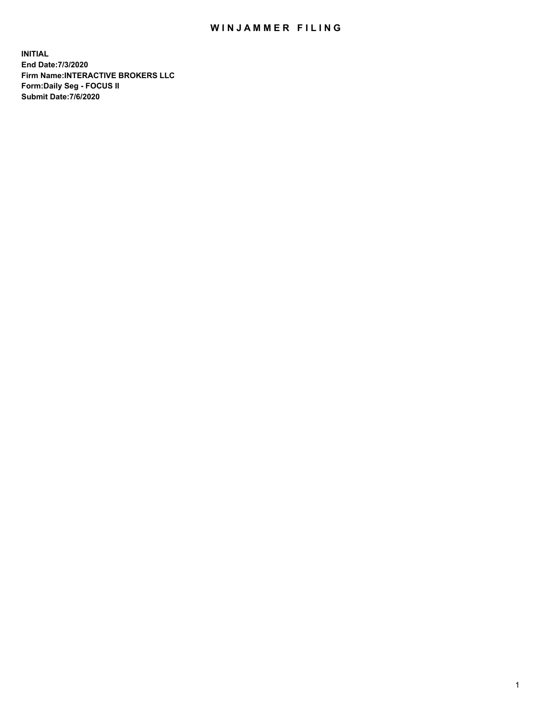## WIN JAMMER FILING

**INITIAL End Date:7/3/2020 Firm Name:INTERACTIVE BROKERS LLC Form:Daily Seg - FOCUS II Submit Date:7/6/2020**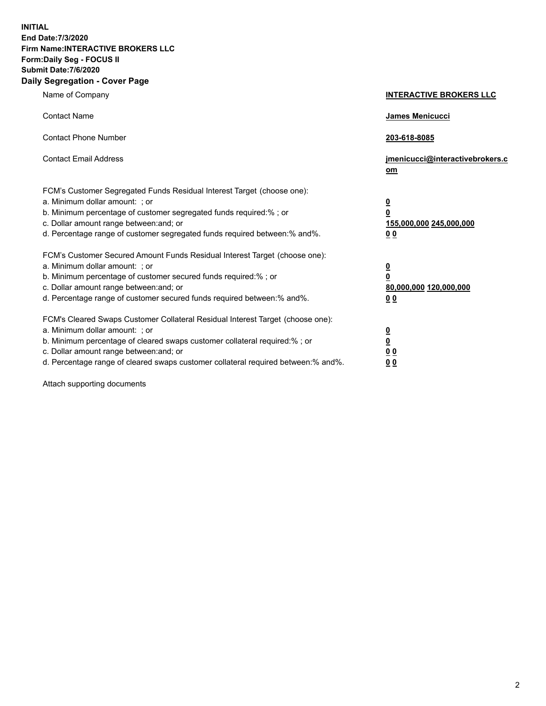**INITIAL End Date:7/3/2020 Firm Name:INTERACTIVE BROKERS LLC Form:Daily Seg - FOCUS II Submit Date:7/6/2020 Daily Segregation - Cover Page**

| Name of Company                                                                                                                                                                                                                                                                                                                | <b>INTERACTIVE BROKERS LLC</b>                                                                  |
|--------------------------------------------------------------------------------------------------------------------------------------------------------------------------------------------------------------------------------------------------------------------------------------------------------------------------------|-------------------------------------------------------------------------------------------------|
| <b>Contact Name</b>                                                                                                                                                                                                                                                                                                            | <b>James Menicucci</b>                                                                          |
| <b>Contact Phone Number</b>                                                                                                                                                                                                                                                                                                    | 203-618-8085                                                                                    |
| <b>Contact Email Address</b>                                                                                                                                                                                                                                                                                                   | jmenicucci@interactivebrokers.c<br>om                                                           |
| FCM's Customer Segregated Funds Residual Interest Target (choose one):<br>a. Minimum dollar amount: ; or<br>b. Minimum percentage of customer segregated funds required:% ; or<br>c. Dollar amount range between: and; or<br>d. Percentage range of customer segregated funds required between:% and%.                         | $\overline{\mathbf{0}}$<br>$\overline{\mathbf{0}}$<br>155,000,000 245,000,000<br>0 <sub>0</sub> |
| FCM's Customer Secured Amount Funds Residual Interest Target (choose one):<br>a. Minimum dollar amount: ; or<br>b. Minimum percentage of customer secured funds required:%; or<br>c. Dollar amount range between: and; or<br>d. Percentage range of customer secured funds required between:% and%.                            | $\overline{\mathbf{0}}$<br>$\mathbf 0$<br>80,000,000 120,000,000<br>0 <sub>0</sub>              |
| FCM's Cleared Swaps Customer Collateral Residual Interest Target (choose one):<br>a. Minimum dollar amount: ; or<br>b. Minimum percentage of cleared swaps customer collateral required:% ; or<br>c. Dollar amount range between: and; or<br>d. Percentage range of cleared swaps customer collateral required between:% and%. | $\overline{\mathbf{0}}$<br>$\underline{\mathbf{0}}$<br>0 <sub>0</sub><br>0 <sub>0</sub>         |

Attach supporting documents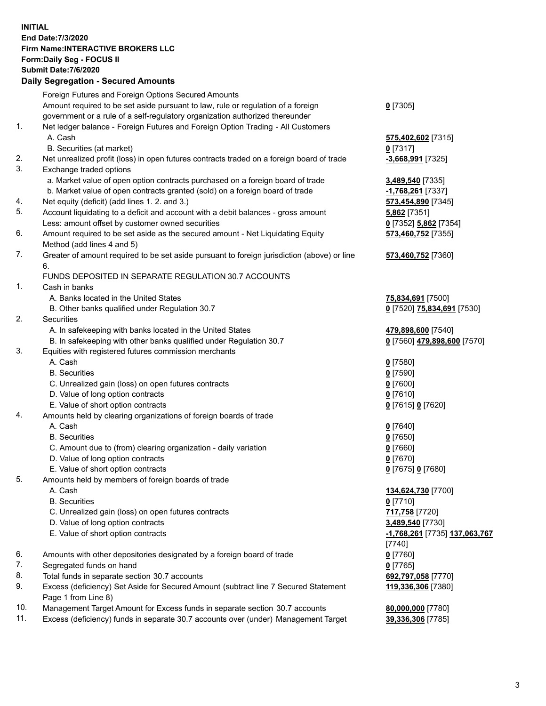**INITIAL End Date:7/3/2020 Firm Name:INTERACTIVE BROKERS LLC Form:Daily Seg - FOCUS II Submit Date:7/6/2020 Daily Segregation - Secured Amounts**

|     | Daily Segregation - Secured Amounts                                                         |                                      |
|-----|---------------------------------------------------------------------------------------------|--------------------------------------|
|     | Foreign Futures and Foreign Options Secured Amounts                                         |                                      |
|     | Amount required to be set aside pursuant to law, rule or regulation of a foreign            | $0$ [7305]                           |
|     | government or a rule of a self-regulatory organization authorized thereunder                |                                      |
| 1.  | Net ledger balance - Foreign Futures and Foreign Option Trading - All Customers             |                                      |
|     | A. Cash                                                                                     | 575,402,602 [7315]                   |
|     | B. Securities (at market)                                                                   | $0$ [7317]                           |
| 2.  | Net unrealized profit (loss) in open futures contracts traded on a foreign board of trade   | -3,668,991 [7325]                    |
| 3.  | Exchange traded options                                                                     |                                      |
|     | a. Market value of open option contracts purchased on a foreign board of trade              | 3,489,540 [7335]                     |
|     | b. Market value of open contracts granted (sold) on a foreign board of trade                | -1,768,261 [7337]                    |
| 4.  | Net equity (deficit) (add lines 1. 2. and 3.)                                               | 573,454,890 [7345]                   |
| 5.  | Account liquidating to a deficit and account with a debit balances - gross amount           | 5,862 [7351]                         |
|     | Less: amount offset by customer owned securities                                            | 0 [7352] 5,862 [7354]                |
| 6.  | Amount required to be set aside as the secured amount - Net Liquidating Equity              | 573,460,752 [7355]                   |
|     | Method (add lines 4 and 5)                                                                  |                                      |
| 7.  | Greater of amount required to be set aside pursuant to foreign jurisdiction (above) or line | 573,460,752 [7360]                   |
|     | 6.                                                                                          |                                      |
|     | FUNDS DEPOSITED IN SEPARATE REGULATION 30.7 ACCOUNTS                                        |                                      |
| 1.  | Cash in banks                                                                               |                                      |
|     | A. Banks located in the United States                                                       | 75,834,691 [7500]                    |
|     | B. Other banks qualified under Regulation 30.7                                              | 0 [7520] 75,834,691 [7530]           |
| 2.  | <b>Securities</b>                                                                           |                                      |
|     | A. In safekeeping with banks located in the United States                                   | 479,898,600 [7540]                   |
|     | B. In safekeeping with other banks qualified under Regulation 30.7                          | 0 [7560] 479,898,600 [7570]          |
| 3.  | Equities with registered futures commission merchants                                       |                                      |
|     | A. Cash                                                                                     | $0$ [7580]                           |
|     | <b>B.</b> Securities                                                                        | $0$ [7590]                           |
|     | C. Unrealized gain (loss) on open futures contracts                                         | $0$ [7600]                           |
|     | D. Value of long option contracts                                                           | $0$ [7610]                           |
|     | E. Value of short option contracts                                                          | 0 [7615] 0 [7620]                    |
| 4.  | Amounts held by clearing organizations of foreign boards of trade                           |                                      |
|     | A. Cash                                                                                     | $0$ [7640]                           |
|     | <b>B.</b> Securities                                                                        | $0$ [7650]                           |
|     | C. Amount due to (from) clearing organization - daily variation                             | $0$ [7660]                           |
|     | D. Value of long option contracts                                                           | $0$ [7670]                           |
|     | E. Value of short option contracts                                                          | 0 [7675] 0 [7680]                    |
| 5   | Amounts held by members of foreign boards of trade                                          |                                      |
|     | A. Cash                                                                                     | 134,624,730 [7700]                   |
|     | <b>B.</b> Securities                                                                        | $0$ [7710]                           |
|     | C. Unrealized gain (loss) on open futures contracts                                         | 717,758 [7720]                       |
|     | D. Value of long option contracts                                                           | 3,489,540 [7730]                     |
|     | E. Value of short option contracts                                                          | <u>-1,768,261</u> [7735] 137,063,767 |
|     |                                                                                             |                                      |
| 6.  | Amounts with other depositories designated by a foreign board of trade                      | $[7740]$<br>$0$ [7760]               |
| 7.  | Segregated funds on hand                                                                    |                                      |
| 8.  | Total funds in separate section 30.7 accounts                                               | $0$ [7765]<br>692,797,058 [7770]     |
| 9.  | Excess (deficiency) Set Aside for Secured Amount (subtract line 7 Secured Statement         | 119,336,306 [7380]                   |
|     | Page 1 from Line 8)                                                                         |                                      |
| 10. | Management Target Amount for Excess funds in separate section 30.7 accounts                 | 80,000,000 [7780]                    |
| 11. | Excess (deficiency) funds in separate 30.7 accounts over (under) Management Target          | 39,336,306 [7785]                    |
|     |                                                                                             |                                      |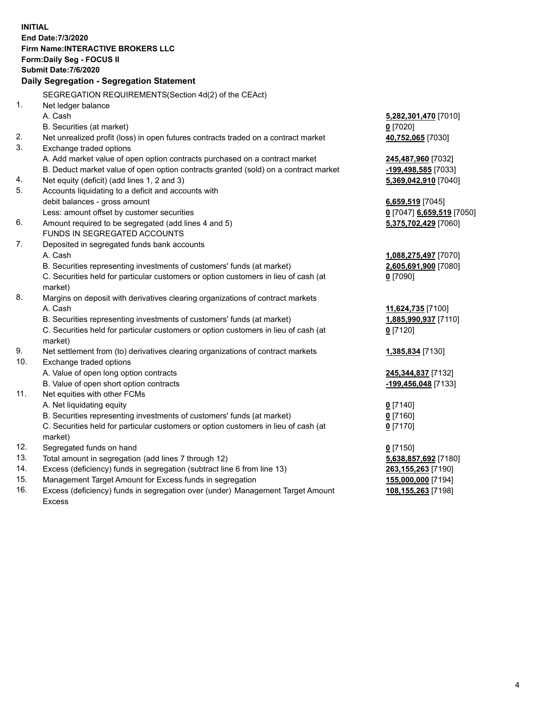**INITIAL End Date:7/3/2020 Firm Name:INTERACTIVE BROKERS LLC Form:Daily Seg - FOCUS II Submit Date:7/6/2020 Daily Segregation - Segregation Statement** SEGREGATION REQUIREMENTS(Section 4d(2) of the CEAct) 1. Net ledger balance A. Cash **5,282,301,470** [7010] B. Securities (at market) **0** [7020] 2. Net unrealized profit (loss) in open futures contracts traded on a contract market **40,752,065** [7030] 3. Exchange traded options A. Add market value of open option contracts purchased on a contract market **245,487,960** [7032] B. Deduct market value of open option contracts granted (sold) on a contract market **-199,498,585** [7033] 4. Net equity (deficit) (add lines 1, 2 and 3) **5,369,042,910** [7040] 5. Accounts liquidating to a deficit and accounts with debit balances - gross amount **6,659,519** [7045] Less: amount offset by customer securities **0** [7047] **6,659,519** [7050] 6. Amount required to be segregated (add lines 4 and 5) **5,375,702,429** [7060] FUNDS IN SEGREGATED ACCOUNTS 7. Deposited in segregated funds bank accounts A. Cash **1,088,275,497** [7070] B. Securities representing investments of customers' funds (at market) **2,605,691,900** [7080] C. Securities held for particular customers or option customers in lieu of cash (at market) **0** [7090] 8. Margins on deposit with derivatives clearing organizations of contract markets A. Cash **11,624,735** [7100] B. Securities representing investments of customers' funds (at market) **1,885,990,937** [7110] C. Securities held for particular customers or option customers in lieu of cash (at market) **0** [7120] 9. Net settlement from (to) derivatives clearing organizations of contract markets **1,385,834** [7130] 10. Exchange traded options A. Value of open long option contracts **245,344,837** [7132] B. Value of open short option contracts **-199,456,048** [7133] 11. Net equities with other FCMs A. Net liquidating equity **0** [7140] B. Securities representing investments of customers' funds (at market) **0** [7160] C. Securities held for particular customers or option customers in lieu of cash (at market) **0** [7170] 12. Segregated funds on hand **0** [7150] 13. Total amount in segregation (add lines 7 through 12) **5,638,857,692** [7180] 14. Excess (deficiency) funds in segregation (subtract line 6 from line 13) **263,155,263** [7190] 15. Management Target Amount for Excess funds in segregation **155,000,000** [7194] 16. Excess (deficiency) funds in segregation over (under) Management Target Amount **108,155,263** [7198]

Excess